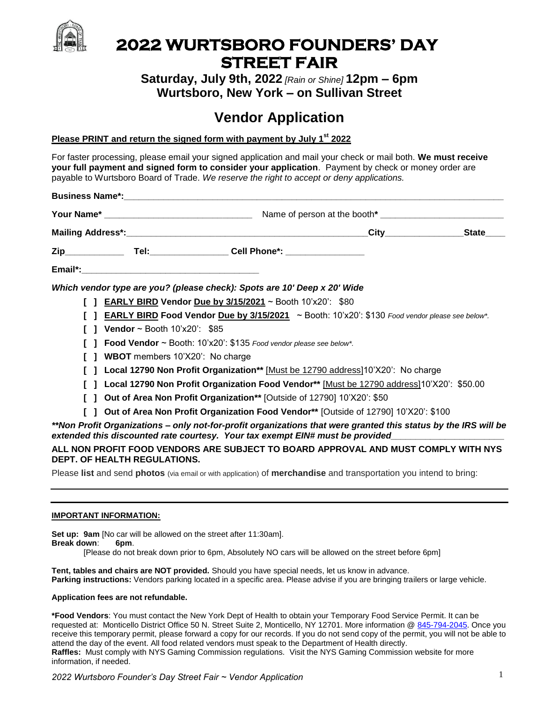

## **2022 WURTSBORO FOUNDERS' DAY STREET FAIR**

**Saturday, July 9th, 2022** *[Rain or Shine]* **12pm – 6pm Wurtsboro, New York – on Sullivan Street**

# **Vendor Application**

#### **Please PRINT and return the signed form with payment by July 1st 2022**

For faster processing, please email your signed application and mail your check or mail both. **We must receive your full payment and signed form to consider your application**. Payment by check or money order are payable to Wurtsboro Board of Trade. *We reserve the right to accept or deny applications.* 

|  |  |                                                                                                          |                                                                                           | <b>Business Name*: All and Service Control of the Control of Control of the Control of Control of Control of Control of Control of Control of Control of Control of Control of Control of Control of Control of Control of Contr</b> |  |  |  |
|--|--|----------------------------------------------------------------------------------------------------------|-------------------------------------------------------------------------------------------|--------------------------------------------------------------------------------------------------------------------------------------------------------------------------------------------------------------------------------------|--|--|--|
|  |  |                                                                                                          |                                                                                           |                                                                                                                                                                                                                                      |  |  |  |
|  |  |                                                                                                          |                                                                                           |                                                                                                                                                                                                                                      |  |  |  |
|  |  |                                                                                                          |                                                                                           |                                                                                                                                                                                                                                      |  |  |  |
|  |  |                                                                                                          |                                                                                           |                                                                                                                                                                                                                                      |  |  |  |
|  |  |                                                                                                          |                                                                                           | Which vendor type are you? (please check): Spots are 10' Deep x 20' Wide                                                                                                                                                             |  |  |  |
|  |  |                                                                                                          |                                                                                           | <b>EARLY BIRD Vendor Due by 3/15/2021</b> ~ Booth 10'x20': \$80                                                                                                                                                                      |  |  |  |
|  |  | <b>EARLY BIRD Food Vendor Due by 3/15/2021</b> ~ Booth: $10'x20'$ : \$130 Food vendor please see below*. |                                                                                           |                                                                                                                                                                                                                                      |  |  |  |
|  |  |                                                                                                          | Vendor ~ Booth $10x20$ : \$85                                                             |                                                                                                                                                                                                                                      |  |  |  |
|  |  |                                                                                                          | <b>Food Vendor</b> $\sim$ Booth: 10'x20': \$135 Food vendor please see below*.            |                                                                                                                                                                                                                                      |  |  |  |
|  |  |                                                                                                          | <b>WBOT</b> members 10'X20': No charge                                                    |                                                                                                                                                                                                                                      |  |  |  |
|  |  |                                                                                                          | Local 12790 Non Profit Organization** [Must be 12790 address]10'X20': No charge           |                                                                                                                                                                                                                                      |  |  |  |
|  |  |                                                                                                          | Local 12790 Non Profit Organization Food Vendor** [Must be 12790 address]10'X20': \$50.00 |                                                                                                                                                                                                                                      |  |  |  |
|  |  |                                                                                                          |                                                                                           | Out of Area Non Profit Organization** [Outside of 12790] 10'X20': \$50                                                                                                                                                               |  |  |  |
|  |  |                                                                                                          |                                                                                           | Out of Area Non Profit Organization Food Vendor** [Outside of 12790] 10'X20': \$100                                                                                                                                                  |  |  |  |
|  |  |                                                                                                          |                                                                                           | **Non Profit Organizations – only not-for-profit organizations that were granted this status by the IRS will be<br>extended this discounted rate courtesy. Your tax exempt EIN# must be provided                                     |  |  |  |
|  |  |                                                                                                          | <b>DEPT. OF HEALTH REGULATIONS.</b>                                                       | ALL NON PROFIT FOOD VENDORS ARE SUBJECT TO BOARD APPROVAL AND MUST COMPLY WITH NYS                                                                                                                                                   |  |  |  |

Please **list** and send **photos** (via email or with application) of **merchandise** and transportation you intend to bring:

#### **IMPORTANT INFORMATION:**

**Set up: 9am** [No car will be allowed on the street after 11:30am].

**Break down**: **6pm**.

[Please do not break down prior to 6pm, Absolutely NO cars will be allowed on the street before 6pm]

**Tent, tables and chairs are NOT provided.** Should you have special needs, let us know in advance. **Parking instructions:** Vendors parking located in a specific area. Please advise if you are bringing trailers or large vehicle.

#### **Application fees are not refundable.**

**\*Food Vendors**: You must contact the New York Dept of Health to obtain your Temporary Food Service Permit. It can be requested at: Monticello District Office 50 N. Street Suite 2, Monticello, NY 12701. More information [@ 845-794-2045.](tel:/845-794-2045) Once you receive this temporary permit, please forward a copy for our records. If you do not send copy of the permit, you will not be able to attend the day of the event. All food related vendors must speak to the Department of Health directly. **Raffles:** Must comply with NYS Gaming Commission regulations. Visit the NYS Gaming Commission website for more information, if needed.

*2022 Wurtsboro Founder's Day Street Fair ~ Vendor Application* 1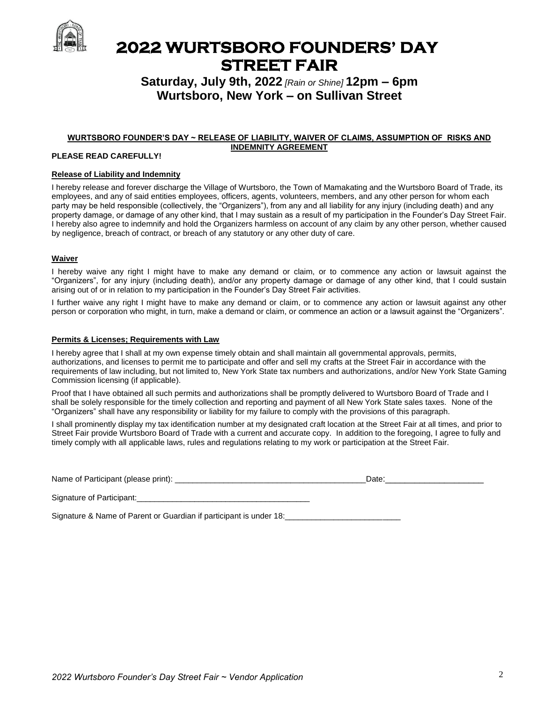

### **2022 WURTSBORO FOUNDERS' DAY STREET FAIR**

### **Saturday, July 9th, 2022** *[Rain or Shine]* **12pm – 6pm Wurtsboro, New York – on Sullivan Street**

#### **WURTSBORO FOUNDER'S DAY ~ RELEASE OF LIABILITY, WAIVER OF CLAIMS, ASSUMPTION OF RISKS AND INDEMNITY AGREEMENT**

#### **PLEASE READ CAREFULLY!**

#### **Release of Liability and Indemnity**

I hereby release and forever discharge the Village of Wurtsboro, the Town of Mamakating and the Wurtsboro Board of Trade, its employees, and any of said entities employees, officers, agents, volunteers, members, and any other person for whom each party may be held responsible (collectively, the "Organizers"), from any and all liability for any injury (including death) and any property damage, or damage of any other kind, that I may sustain as a result of my participation in the Founder's Day Street Fair. I hereby also agree to indemnify and hold the Organizers harmless on account of any claim by any other person, whether caused by negligence, breach of contract, or breach of any statutory or any other duty of care.

#### **Waiver**

I hereby waive any right I might have to make any demand or claim, or to commence any action or lawsuit against the "Organizers", for any injury (including death), and/or any property damage or damage of any other kind, that I could sustain arising out of or in relation to my participation in the Founder's Day Street Fair activities.

I further waive any right I might have to make any demand or claim, or to commence any action or lawsuit against any other person or corporation who might, in turn, make a demand or claim, or commence an action or a lawsuit against the "Organizers".

#### **Permits & Licenses; Requirements with Law**

I hereby agree that I shall at my own expense timely obtain and shall maintain all governmental approvals, permits, authorizations, and licenses to permit me to participate and offer and sell my crafts at the Street Fair in accordance with the requirements of law including, but not limited to, New York State tax numbers and authorizations, and/or New York State Gaming Commission licensing (if applicable).

Proof that I have obtained all such permits and authorizations shall be promptly delivered to Wurtsboro Board of Trade and I shall be solely responsible for the timely collection and reporting and payment of all New York State sales taxes. None of the "Organizers" shall have any responsibility or liability for my failure to comply with the provisions of this paragraph.

I shall prominently display my tax identification number at my designated craft location at the Street Fair at all times, and prior to Street Fair provide Wurtsboro Board of Trade with a current and accurate copy. In addition to the foregoing, I agree to fully and timely comply with all applicable laws, rules and regulations relating to my work or participation at the Street Fair.

| Name of Participant (please print): | Date |  |  |
|-------------------------------------|------|--|--|
|                                     |      |  |  |
| $\sim$<br>.                         |      |  |  |

Signature of Participant:

Signature & Name of Parent or Guardian if participant is under 18: